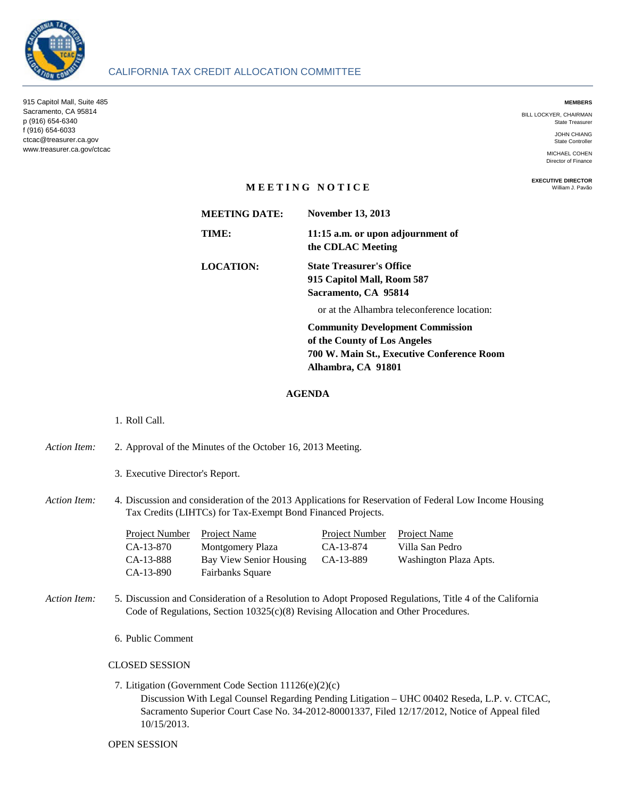

#### **MEMBERS**

BILL LOCKYER, CHAIRMAN State Treasurer

> JOHN CHIANG State Controller

MICHAEL COHEN Director of Finance

**EXECUTIVE DIRECTOR** William J. Pavão

# **M E E T I N G N O T I C E**

**MEETING DATE: TIME: 11:15 a.m. or upon adjournment of the CDLAC Meeting LOCATION: State Treasurer's Office 915 Capitol Mall, Room 587 Sacramento, CA 95814** or at the Alhambra teleconference location: **Community Development Commission November 13, 2013**

**of the County of Los Angeles 700 W. Main St., Executive Conference Room Alhambra, CA 91801**

### **AGENDA**

# 1. Roll Call.

- *Action Item:* 2. 2. Approval of the Minutes of the October 16, 2013 Meeting.
	- 3. Executive Director's Report.
- Action Item: Discussion and consideration of the 2013 Applications for Reservation of Federal Low Income Housing Tax Credits (LIHTCs) for Tax-Exempt Bond Financed Projects.

| Project Number | Project Name            | <b>Project Number</b> | Project Name           |
|----------------|-------------------------|-----------------------|------------------------|
| CA-13-870      | Montgomery Plaza        | CA-13-874             | Villa San Pedro        |
| CA-13-888      | Bay View Senior Housing | CA-13-889             | Washington Plaza Apts. |
| CA-13-890      | <b>Fairbanks Square</b> |                       |                        |

- *Action Item:* 5. Discussion and Consideration of a Resolution to Adopt Proposed Regulations, Title 4 of the California Code of Regulations, Section 10325(c)(8) Revising Allocation and Other Procedures.
	- 6. Public Comment

## CLOSED SESSION

7. Litigation (Government Code Section 11126(e)(2)(c)

Discussion With Legal Counsel Regarding Pending Litigation – UHC 00402 Reseda, L.P. v. CTCAC, Sacramento Superior Court Case No. 34-2012-80001337, Filed 12/17/2012, Notice of Appeal filed 10/15/2013.

#### OPEN SESSION